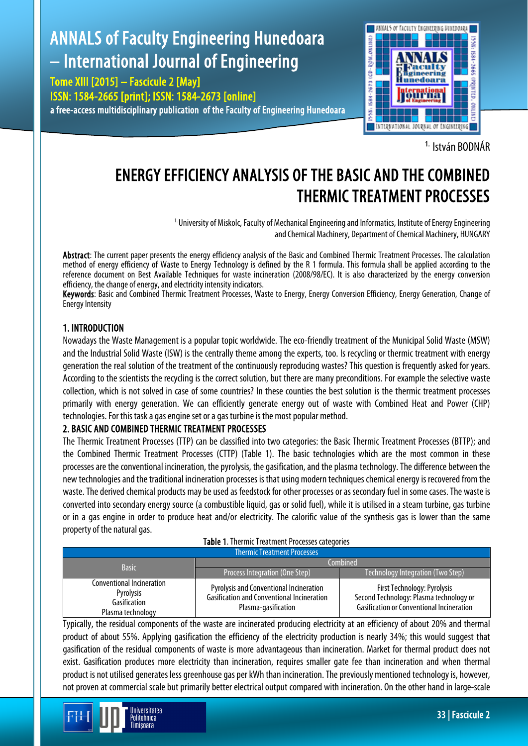# ANNALS of Faculty Engineering Hunedoara – International Journal of Engineering

Tome XIII [2015] – Fascicule 2 [May] ISSN: 1584-2665 [print]; ISSN: 1584-2673 [online] a free-access multidisciplinary publication of the Faculty of Engineering Hunedoara



1. István BODNÁR

# ENERGY EFFICIENCY ANALYSIS OF THE BASIC AND THE COMBINED THERMIC TREATMENT PROCESSES

<sup>1.</sup> University of Miskolc, Faculty of Mechanical Engineering and Informatics, Institute of Energy Engineering and Chemical Machinery, Department of Chemical Machinery, HUNGARY

Abstract: The current paper presents the energy efficiency analysis of the Basic and Combined Thermic Treatment Processes. The calculation method of energy efficiency of Waste to Energy Technology is defined by the R 1 formula. This formula shall be applied according to the reference document on Best Available Techniques for waste incineration (2008/98/EC). It is also characterized by the energy conversion efficiency, the change of energy, and electricity intensity indicators.

Keywords: Basic and Combined Thermic Treatment Processes, Waste to Energy, Energy Conversion Efficiency, Energy Generation, Change of Energy Intensity

## 1. INTRODUCTION

Nowadays the Waste Management is a popular topic worldwide. The eco-friendly treatment of the Municipal Solid Waste (MSW) and the Industrial Solid Waste (ISW) is the centrally theme among the experts, too. Is recycling or thermic treatment with energy generation the real solution of the treatment of the continuously reproducing wastes? This question is frequently asked for years. According to the scientists the recycling is the correct solution, but there are many preconditions. For example the selective waste collection, which is not solved in case of some countries? In these counties the best solution is the thermic treatment processes primarily with energy generation. We can efficiently generate energy out of waste with Combined Heat and Power (CHP) technologies. For this task a gas engine set or a gas turbine is the most popular method.

# 2. BASIC AND COMBINED THERMIC TREATMENT PROCESSES

Jniversitatea Politehnica Timisnara

The Thermic Treatment Processes (TTP) can be classified into two categories: the Basic Thermic Treatment Processes (BTTP); and the Combined Thermic Treatment Processes (CTTP) (Table 1). The basic technologies which are the most common in these processes are the conventional incineration, the pyrolysis, the gasification, and the plasma technology. The difference between the new technologies and the traditional incineration processes is that using modern techniques chemical energy is recovered from the waste. The derived chemical products may be used as feedstock for other processes or as secondary fuel in some cases. The waste is converted into secondary energy source (a combustible liquid, gas or solid fuel), while it is utilised in a steam turbine, gas turbine or in a gas engine in order to produce heat and/or electricity. The calorific value of the synthesis gas is lower than the same property of the natural gas.

### Table 1. Thermic Treatment Processes categories

| <b>Thermic Treatment Processes</b>                                          |                                                                                                                            |                                                                                                                            |  |  |
|-----------------------------------------------------------------------------|----------------------------------------------------------------------------------------------------------------------------|----------------------------------------------------------------------------------------------------------------------------|--|--|
| <b>Basic</b>                                                                | Combined                                                                                                                   |                                                                                                                            |  |  |
|                                                                             | Process Integration (One Step)                                                                                             | Technology Integration (Two Step)                                                                                          |  |  |
| Conventional Incineration<br>Pyrolysis<br>Gasification<br>Plasma technology | <b>Pyrolysis and Conventional Incineration</b><br><b>Gasification and Conventional Incineration</b><br>Plasma-gasification | First Technology: Pyrolysis<br>Second Technology: Plasma technology or<br><b>Gasification or Conventional Incineration</b> |  |  |

Typically, the residual components of the waste are incinerated producing electricity at an efficiency of about 20% and thermal product of about 55%. Applying gasification the efficiency of the electricity production is nearly 34%; this would suggest that gasification of the residual components of waste is more advantageous than incineration. Market for thermal product does not exist. Gasification produces more electricity than incineration, requires smaller gate fee than incineration and when thermal product is not utilised generates less greenhouse gas per kWh than incineration. The previously mentioned technology is, however, not proven at commercial scale but primarily better electrical output compared with incineration. On the other hand in large-scale

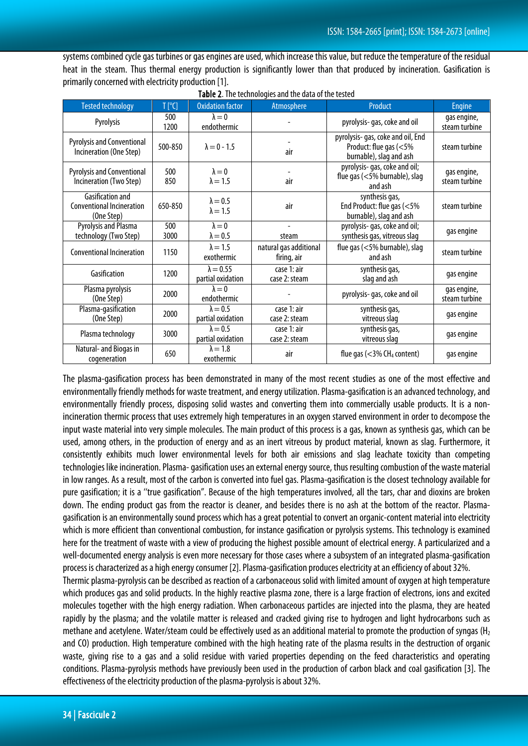systems combined cycle gas turbines or gas engines are used, which increase this value, but reduce the temperature of the residual heat in the steam. Thus thermal energy production is significantly lower than that produced by incineration. Gasification is primarily concerned with electricity production [1].

| <b>Tested technology</b>                                                  | $T$ [ $^{\circ}$ C] | <b>Oxidation factor</b>               | Atmosphere                            | Product                                                                                | Engine                       |
|---------------------------------------------------------------------------|---------------------|---------------------------------------|---------------------------------------|----------------------------------------------------------------------------------------|------------------------------|
| Pyrolysis                                                                 | 500<br>1200         | $\lambda = 0$<br>endothermic          |                                       | pyrolysis- gas, coke and oil                                                           | gas engine,<br>steam turbine |
| <b>Pyrolysis and Conventional</b><br>Incineration (One Step)              | 500-850             | $\lambda = 0 - 1.5$                   | air                                   | pyrolysis- gas, coke and oil, End<br>Product: flue gas (<5%<br>burnable), slag and ash | steam turbine                |
| <b>Pyrolysis and Conventional</b><br>Incineration (Two Step)              | 500<br>850          | $\lambda = 0$<br>$\lambda = 1.5$      | air                                   | pyrolysis-gas, coke and oil;<br>flue gas (<5% burnable), slag<br>and ash               | gas engine,<br>steam turbine |
| <b>Gasification and</b><br><b>Conventional Incineration</b><br>(One Step) | 650-850             | $\lambda = 0.5$<br>$\lambda = 1.5$    | air                                   | synthesis gas,<br>End Product: flue gas (<5%<br>burnable), slag and ash                | steam turbine                |
| Pyrolysis and Plasma<br>technology (Two Step)                             | 500<br>3000         | $\lambda = 0$<br>$\lambda = 0.5$      | $\overline{\phantom{a}}$<br>steam     | pyrolysis- gas, coke and oil;<br>synthesis gas, vitreous slag                          | gas engine                   |
| <b>Conventional Incineration</b>                                          | 1150                | $\lambda = 1.5$<br>exothermic         | natural gas additional<br>firing, air | flue gas $(<5\%$ burnable), slag<br>and ash                                            | steam turbine                |
| Gasification                                                              | 1200                | $\lambda = 0.55$<br>partial oxidation | case 1: air<br>case 2: steam          | synthesis gas,<br>slag and ash                                                         | gas engine                   |
| Plasma pyrolysis<br>(One Step)                                            | 2000                | $\lambda = 0$<br>endothermic          |                                       | pyrolysis-gas, coke and oil                                                            | gas engine,<br>steam turbine |
| Plasma-gasification<br>(One Step)                                         | 2000                | $\lambda = 0.5$<br>partial oxidation  | case 1: air<br>case 2: steam          | synthesis gas,<br>vitreous slag                                                        | gas engine                   |
| Plasma technology                                                         | 3000                | $\lambda = 0.5$<br>partial oxidation  | case 1: air<br>case 2: steam          | synthesis gas,<br>vitreous slag                                                        | gas engine                   |
| Natural- and Biogas in<br>cogeneration                                    | 650                 | $\lambda = 1.8$<br>exothermic         | air                                   | flue gas $(<$ 3% CH <sub>4</sub> content)                                              | gas engine                   |

Table 2. The technologies and the data of the tested

The plasma-gasification process has been demonstrated in many of the most recent studies as one of the most effective and environmentally friendly methods for waste treatment, and energy utilization. Plasma-gasification is an advanced technology, and environmentally friendly process, disposing solid wastes and converting them into commercially usable products. It is a nonincineration thermic process that uses extremely high temperatures in an oxygen starved environment in order to decompose the input waste material into very simple molecules. The main product of this process is a gas, known as synthesis gas, which can be used, among others, in the production of energy and as an inert vitreous by product material, known as slag. Furthermore, it consistently exhibits much lower environmental levels for both air emissions and slag leachate toxicity than competing technologies like incineration. Plasma-gasification uses an external energy source, thus resulting combustion of the waste material in low ranges. As a result, most of the carbon is converted into fuel gas. Plasma-gasification is the closest technology available for pure gasification; it is a ''true gasification". Because of the high temperatures involved, all the tars, char and dioxins are broken down. The ending product gas from the reactor is cleaner, and besides there is no ash at the bottom of the reactor. Plasmagasification is an environmentally sound process which has a great potential to convert an organic-content material into electricity which is more efficient than conventional combustion, for instance gasification or pyrolysis systems. This technology is examined here for the treatment of waste with a view of producing the highest possible amount of electrical energy. A particularized and a well-documented energy analysis is even more necessary for those cases where a subsystem of an integrated plasma-gasification process is characterized as a high energy consumer [2]. Plasma-gasification produces electricity at an efficiency of about 32%. Thermic plasma-pyrolysis can be described as reaction of a carbonaceous solid with limited amount of oxygen at high temperature which produces gas and solid products. In the highly reactive plasma zone, there is a large fraction of electrons, ions and excited molecules together with the high energy radiation. When carbonaceous particles are injected into the plasma, they are heated rapidly by the plasma; and the volatile matter is released and cracked giving rise to hydrogen and light hydrocarbons such as

methane and acetylene. Water/steam could be effectively used as an additional material to promote the production of syngas ( $H_2$ ) and CO) production. High temperature combined with the high heating rate of the plasma results in the destruction of organic waste, giving rise to a gas and a solid residue with varied properties depending on the feed characteristics and operating conditions. Plasma-pyrolysis methods have previously been used in the production of carbon black and coal gasification [3]. The effectiveness of the electricity production of the plasma-pyrolysis is about 32%.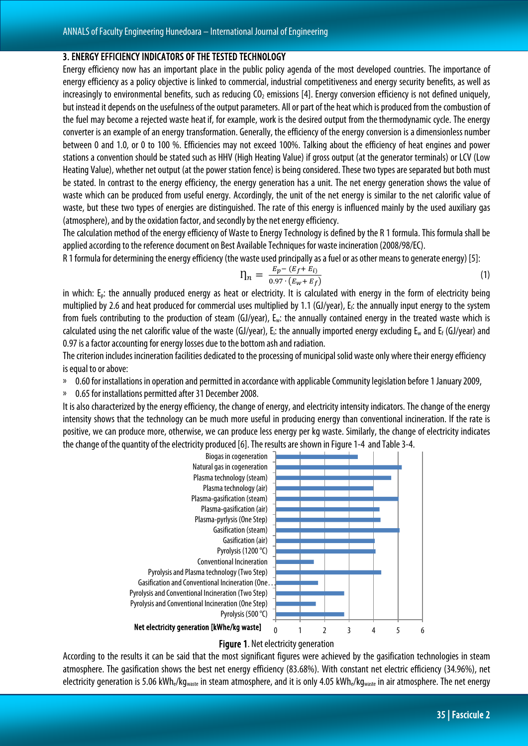#### 3. ENERGY EFFICIENCY INDICATORS OF THE TESTED TECHNOLOGY

Energy efficiency now has an important place in the public policy agenda of the most developed countries. The importance of energy efficiency as a policy objective is linked to commercial, industrial competitiveness and energy security benefits, as well as increasingly to environmental benefits, such as reducing  $CO<sub>2</sub>$  emissions [4]. Energy conversion efficiency is not defined uniquely, but instead it depends on the usefulness of the output parameters. All or part of the heat which is produced from the combustion of the fuel may become a rejected [waste heat](http://en.wikipedia.org/wiki/Waste_heat) if, for example, work is the desired output from th[ethermodynamic cycle.](http://en.wikipedia.org/wiki/Thermodynamic_cycle) The energy converter is an example of an energy transformation. Generally, the efficiency of the energy conversion is [adimensionless](http://en.wikipedia.org/wiki/Dimensionless) number between 0 and 1.0, or 0 to 100 %. Efficiencies may not exceed 100%. Talking about the efficiency of heat engines and power stations a convention should be stated such as HHV (High Heating Value) if gross output (at the generator terminals) or LCV (Low Heating Value), whether net output (at the power station fence) is being considered. These two types are separated but both must be stated. In contrast to the energy efficiency, the energy generation has a unit. The net energy generation shows the value of waste which can be produced from useful energy. Accordingly, the unit of the net energy is similar to the net calorific value of waste, but these two types of energies are distinguished. The rate of this energy is influenced mainly by the used auxiliary gas (atmosphere), and by the oxidation factor, and secondly by the net energy efficiency.

The calculation method of the energy efficiency of Waste to Energy Technology is defined by the R 1 formula. This formula shall be applied according to the reference document on Best Available Techniques for waste incineration (2008/98/EC).

R 1 formula for determining the energy efficiency (the waste used principally as a fuel or as other means to generate energy) [5]:

$$
\eta_n = \frac{E_p - (E_f + E_i)}{0.97 \cdot (E_w + E_f)}\tag{1}
$$

in which: E<sub>p</sub>: the annually produced energy as heat or electricity. It is calculated with energy in the form of electricity being multiplied by 2.6 and heat produced for commercial uses multiplied by 1.1 (GJ/year), Ef: the annually input energy to the system from fuels contributing to the production of steam (GJ/year), Ew: the annually contained energy in the treated waste which is calculated using the net calorific value of the waste (GJ/year), E<sub>i</sub>: the annually imported energy excluding  $E_w$  and  $E_f$  (GJ/year) and 0.97 is a factor accounting for energy losses due to the bottom ash and radiation.

The criterion includes incineration facilities dedicated to the processing of municipal solid waste only where their energy efficiency is equal to or above:

<sup>3</sup> 0.60 for installations in operation and permitted in accordance with applicable Community legislation before 1 January 2009,

0.65 for installations permitted after 31 December 2008.

It is also characterized by the energy efficiency, the change of energy, and electricity intensity indicators. The change of the energy intensity shows that the technology can be much more useful in producing energy than conventional incineration. If the rate is positive, we can produce more, otherwise, we can produce less energy per kg waste. Similarly, the change of electricity indicates the change of the quantity of the electricity produced [6]. The results are shown in Figure 1-4 and Table 3-4.



Figure 1. Net electricity generation

According to the results it can be said that the most significant figures were achieved by the gasification technologies in steam atmosphere. The gasification shows the best net energy efficiency (83.68%). With constant net electric efficiency (34.96%), net electricity generation is 5.06 kWh<sub>e</sub>/kg<sub>waste</sub> in steam atmosphere, and it is only 4.05 kWh<sub>e</sub>/kg<sub>waste</sub> in air atmosphere. The net energy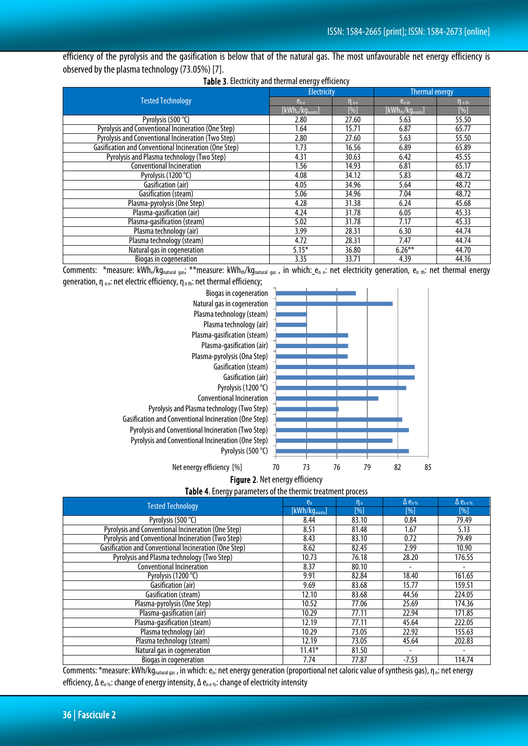efficiency of the pyrolysis and the gasification is below that of the natural gas. The most unfavourable net energy efficiency is observed by the plasma technology (73.05%) [7].

|                                                       | Electricity                              |             | <b>Thermal energy</b>   |                       |
|-------------------------------------------------------|------------------------------------------|-------------|-------------------------|-----------------------|
| <b>Tested Technology</b>                              | $e_{ne}$                                 | $\eta_{ne}$ | $e_{n}$ <sub>th</sub>   | $\eta$ <sub>nth</sub> |
|                                                       | [kWh <sub>e</sub> /kg <sub>waste</sub> ] | $[\%]$      | $[kWh_{th}/kg_{waste}]$ | $[\%]$                |
| Pyrolysis (500 °C)                                    | 2.80                                     | 27.60       | 5.63                    | 55.50                 |
| Pyrolysis and Conventional Incineration (One Step)    | 1.64                                     | 15.71       | 6.87                    | 65.77                 |
| Pyrolysis and Conventional Incineration (Two Step)    | 2.80                                     | 27.60       | 5.63                    | 55.50                 |
| Gasification and Conventional Incineration (One Step) | 1.73                                     | 16.56       | 6.89                    | 65.89                 |
| Pyrolysis and Plasma technology (Two Step)            | 4.31                                     | 30.63       | 6.42                    | 45.55                 |
| <b>Conventional Incineration</b>                      | 1.56                                     | 14.93       | 6.81                    | 65.17                 |
| Pyrolysis (1200 °C)                                   | 4.08                                     | 34.12       | 5.83                    | 48.72                 |
| Gasification (air)                                    | 4.05                                     | 34.96       | 5.64                    | 48.72                 |
| Gasification (steam)                                  | 5.06                                     | 34.96       | 7.04                    | 48.72                 |
| Plasma-pyrolysis (One Step)                           | 4.28                                     | 31.38       | 6.24                    | 45.68                 |
| Plasma-gasification (air)                             | 4.24                                     | 31.78       | 6.05                    | 45.33                 |
| Plasma-gasification (steam)                           | 5.02                                     | 31.78       | 7.17                    | 45.33                 |
| Plasma technology (air)                               | 3.99                                     | 28.31       | 6.30                    | 44.74                 |
| Plasma technology (steam)                             | 4.72                                     | 28.31       | 7.47                    | 44.74                 |
| Natural gas in cogeneration                           | $5.15*$                                  | 36.80       | $6.26***$               | 44.70                 |
| Biogas in cogeneration                                | 3.35                                     | 33.71       | 4.39                    | 44.16                 |

Comments: \*measure: kWh<sub>e</sub>/kg<sub>natural gas</sub>; \*\*measure: kWh<sub>th</sub>/kg<sub>natural gas</sub>, in which: e<sub>n e</sub>: net electricity generation, e<sub>n th</sub>: net thermal energy generation, η  $_{\text{ne}}$ : net electric efficiency, η $_{\text{ne}}$ : net thermal efficiency;





Table 4. Energy parameters of the thermic treatment process

| J/ 11                                                 |                            |         |                          |                           |
|-------------------------------------------------------|----------------------------|---------|--------------------------|---------------------------|
| <b>Tested Technology</b>                              | $e_n$                      | $n_{n}$ | $\Delta e_{n\%}$         | $\Delta e_{\text{n e }%}$ |
|                                                       | [kWh/kg <sub>waste</sub> ] | [%]     | [%]                      | [%]                       |
| Pyrolysis (500 °C)                                    | 8.44                       | 83.10   | 0.84                     | 79.49                     |
| Pyrolysis and Conventional Incineration (One Step)    | 8.51                       | 81.48   | 1.67                     | 5.13                      |
| Pyrolysis and Conventional Incineration (Two Step)    | 8.43                       | 83.10   | 0.72                     | 79.49                     |
| Gasification and Conventional Incineration (One Step) | 8.62                       | 82.45   | 2.99                     | 10.90                     |
| Pyrolysis and Plasma technology (Two Step)            | 10.73                      | 76.18   | 28.20                    | 176.55                    |
| <b>Conventional Incineration</b>                      | 8.37                       | 80.10   | $\overline{\phantom{0}}$ |                           |
| Pyrolysis (1200 °C)                                   | 9.91                       | 82.84   | 18.40                    | 161.65                    |
| Gasification (air)                                    | 9.69                       | 83.68   | 15.77                    | 159.51                    |
| Gasification (steam)                                  | 12.10                      | 83.68   | 44.56                    | 224.05                    |
| Plasma-pyrolysis (One Step)                           | 10.52                      | 77.06   | 25.69                    | 174.36                    |
| Plasma-gasification (air)                             | 10.29                      | 77.11   | 22.94                    | 171.85                    |
| Plasma-gasification (steam)                           | 12.19                      | 77.11   | 45.64                    | 222.05                    |
| Plasma technology (air)                               | 10.29                      | 73.05   | 22.92                    | 155.63                    |
| Plasma technology (steam)                             | 12.19                      | 73.05   | 45.64                    | 202.83                    |
| Natural gas in cogeneration                           | $11.41*$                   | 81.50   | $\overline{\phantom{a}}$ |                           |
| Biogas in cogeneration                                | 7.74                       | 77.87   | $-7.53$                  | 114.74                    |

Comments: \*measure: kWh/kg<sub>natural gas</sub>, in which: e<sub>n</sub>: net energy generation (proportional net caloric value of synthesis gas), η<sub>n</sub>: net energy efficiency, Δ e<sub>n %</sub>: change of energy intensity, Δ e<sub>ne %</sub>: change of electricity intensity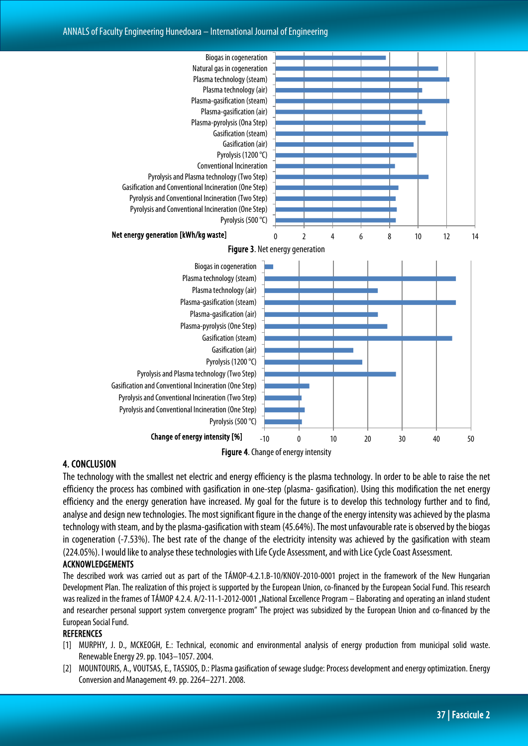#### ANNALS of Faculty Engineering Hunedoara – International Journal of Engineering



#### 4. CONCLUSION

The technology with the smallest net electric and energy efficiency is the plasma technology. In order to be able to raise the net efficiency the process has combined with gasification in one-step (plasma- gasification). Using this modification the net energy efficiency and the energy generation have increased. My goal for the future is to develop this technology further and to find, analyse and design new technologies. The most significant figure in the change of the energy intensity was achieved by the plasma technology with steam, and by the plasma-gasification with steam (45.64%). The most unfavourable rate is observed by the biogas in cogeneration (-7.53%). The best rate of the change of the electricity intensity was achieved by the gasification with steam (224.05%). I would like to analyse these technologies with Life Cycle Assessment, and with Lice Cycle Coast Assessment.

#### ACKNOWLEDGEMENTS

The described work was carried out as part of the TÁMOP-4.2.1.B-10/KNOV-2010-0001 project in the framework of the New Hungarian Development Plan. The realization of this project is supported by the European Union, co-financed by the European Social Fund. This research was realized in the frames of TÁMOP 4.2.4. A/2-11-1-2012-0001 "National Excellence Program – Elaborating and operating an inland student and researcher personal support system convergence program" The project was subsidized by the European Union and co-financed by the European Social Fund.

#### **REFERENCES**

- [1] MURPHY, J. D., MCKEOGH, E.: Technical, economic and environmental analysis of energy production from municipal solid waste. Renewable Energy 29. pp. 1043–1057. 2004.
- [2] MOUNTOURIS, A., VOUTSAS, E., TASSIOS, D.: Plasma gasification of sewage sludge: Process development and energy optimization. Energy Conversion and Management 49. pp. 2264–2271. 2008.